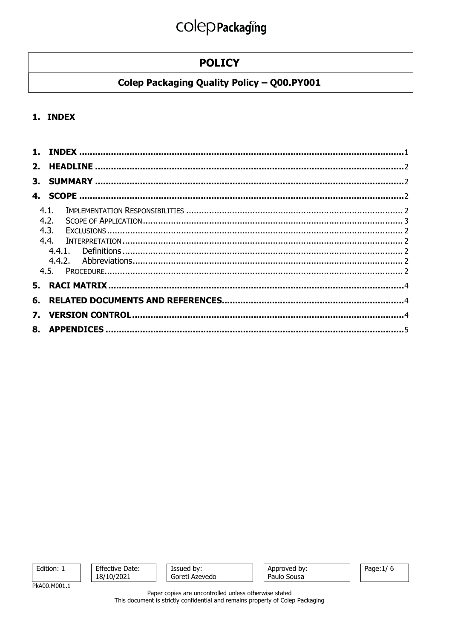## **POLICY**

## Colep Packaging Quality Policy - Q00.PY001

### 1. INDEX

| 4.1. |  |
|------|--|
| 4.2. |  |
|      |  |
|      |  |
|      |  |
|      |  |
|      |  |
|      |  |
|      |  |
|      |  |
|      |  |
|      |  |
|      |  |

Edition: 1

**Effective Date:** 18/10/2021

| Issued by:     |  |  |  |
|----------------|--|--|--|
| Goreti Azevedo |  |  |  |

Approved by: Paulo Sousa

Page: 1/6

PkA00.M001.1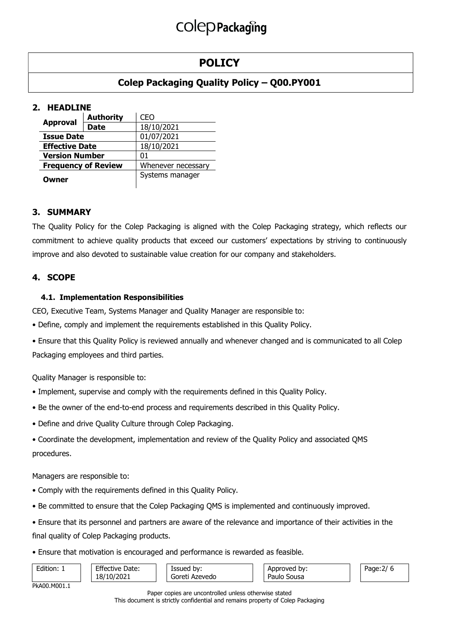## POLICY

## Colep Packaging Quality Policy – Q00.PY001

## 2. HEADLINE

|                            | <b>Authority</b> | CEO                |  |  |  |
|----------------------------|------------------|--------------------|--|--|--|
| <b>Approval</b>            | Date             | 18/10/2021         |  |  |  |
| <b>Issue Date</b>          |                  | 01/07/2021         |  |  |  |
| <b>Effective Date</b>      |                  | 18/10/2021         |  |  |  |
| <b>Version Number</b>      |                  | 01                 |  |  |  |
| <b>Frequency of Review</b> |                  | Whenever necessary |  |  |  |
| Owner                      |                  | Systems manager    |  |  |  |

### 3. SUMMARY

The Quality Policy for the Colep Packaging is aligned with the Colep Packaging strategy, which reflects our commitment to achieve quality products that exceed our customers' expectations by striving to continuously improve and also devoted to sustainable value creation for our company and stakeholders.

### 4. SCOPE

### 4.1. Implementation Responsibilities

CEO, Executive Team, Systems Manager and Quality Manager are responsible to:

• Define, comply and implement the requirements established in this Quality Policy.

• Ensure that this Quality Policy is reviewed annually and whenever changed and is communicated to all Colep Packaging employees and third parties.

Quality Manager is responsible to:

- Implement, supervise and comply with the requirements defined in this Quality Policy.
- Be the owner of the end-to-end process and requirements described in this Quality Policy.
- Define and drive Quality Culture through Colep Packaging.
- Coordinate the development, implementation and review of the Quality Policy and associated QMS procedures.

Managers are responsible to:

- Comply with the requirements defined in this Quality Policy.
- Be committed to ensure that the Colep Packaging QMS is implemented and continuously improved.
- Ensure that its personnel and partners are aware of the relevance and importance of their activities in the final quality of Colep Packaging products.
- Ensure that motivation is encouraged and performance is rewarded as feasible.

| Edition: 1   | <b>Effective Date:</b><br>18/10/2021 | Issued by:<br>Goreti Azevedo | Approved by:<br>Paulo<br>Sousa | Page:2, |
|--------------|--------------------------------------|------------------------------|--------------------------------|---------|
| PkA00.M001.1 |                                      |                              |                                |         |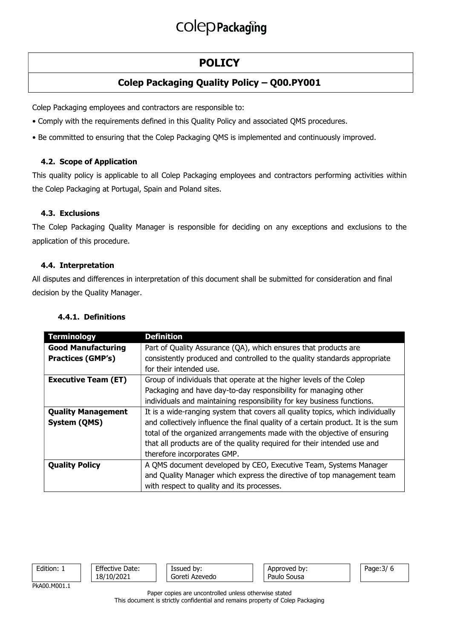## POLICY

## Colep Packaging Quality Policy – Q00.PY001

Colep Packaging employees and contractors are responsible to:

- Comply with the requirements defined in this Quality Policy and associated QMS procedures.
- Be committed to ensuring that the Colep Packaging QMS is implemented and continuously improved.

### 4.2. Scope of Application

This quality policy is applicable to all Colep Packaging employees and contractors performing activities within the Colep Packaging at Portugal, Spain and Poland sites.

### 4.3. Exclusions

The Colep Packaging Quality Manager is responsible for deciding on any exceptions and exclusions to the application of this procedure.

### 4.4. Interpretation

All disputes and differences in interpretation of this document shall be submitted for consideration and final decision by the Quality Manager.

## 4.4.1. Definitions

| <b>Terminology</b>         | <b>Definition</b>                                                                |
|----------------------------|----------------------------------------------------------------------------------|
| <b>Good Manufacturing</b>  | Part of Quality Assurance (QA), which ensures that products are                  |
| <b>Practices (GMP's)</b>   | consistently produced and controlled to the quality standards appropriate        |
|                            | for their intended use.                                                          |
| <b>Executive Team (ET)</b> | Group of individuals that operate at the higher levels of the Colep              |
|                            | Packaging and have day-to-day responsibility for managing other                  |
|                            | individuals and maintaining responsibility for key business functions.           |
| <b>Quality Management</b>  | It is a wide-ranging system that covers all quality topics, which individually   |
| System (QMS)               | and collectively influence the final quality of a certain product. It is the sum |
|                            | total of the organized arrangements made with the objective of ensuring          |
|                            | that all products are of the quality required for their intended use and         |
|                            | therefore incorporates GMP.                                                      |
| <b>Quality Policy</b>      | A QMS document developed by CEO, Executive Team, Systems Manager                 |
|                            | and Quality Manager which express the directive of top management team           |
|                            | with respect to quality and its processes.                                       |

| Edition: 1   | <b>Effective Date:</b><br>18/10/2021 | Issued by:<br>Goreti Azevedo | Approved by:<br>Paulo Sousa | Page: 3/6 |
|--------------|--------------------------------------|------------------------------|-----------------------------|-----------|
| PkA00.M001.1 |                                      |                              |                             |           |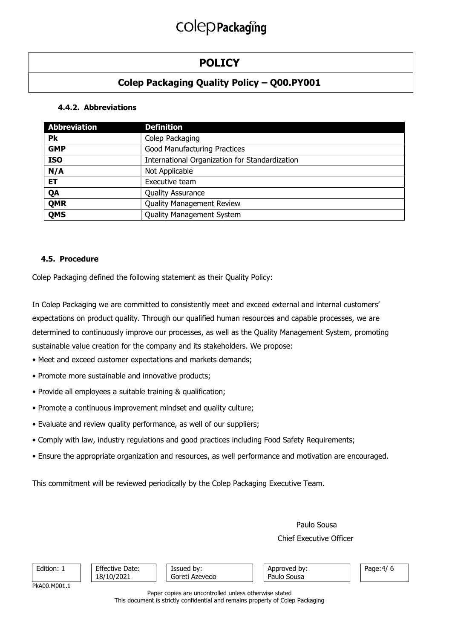## POLICY

## Colep Packaging Quality Policy – Q00.PY001

### 4.4.2. Abbreviations

| <b>Abbreviation</b> | <b>Definition</b>                              |
|---------------------|------------------------------------------------|
| Pk                  | Colep Packaging                                |
| <b>GMP</b>          | Good Manufacturing Practices                   |
| <b>ISO</b>          | International Organization for Standardization |
| N/A                 | Not Applicable                                 |
| <b>ET</b>           | Executive team                                 |
| QA                  | <b>Quality Assurance</b>                       |
| <b>QMR</b>          | <b>Quality Management Review</b>               |
| <b>QMS</b>          | <b>Quality Management System</b>               |

#### 4.5. Procedure

Colep Packaging defined the following statement as their Quality Policy:

In Colep Packaging we are committed to consistently meet and exceed external and internal customers' expectations on product quality. Through our qualified human resources and capable processes, we are determined to continuously improve our processes, as well as the Quality Management System, promoting sustainable value creation for the company and its stakeholders. We propose:

- Meet and exceed customer expectations and markets demands;
- Promote more sustainable and innovative products;
- Provide all employees a suitable training & qualification;
- Promote a continuous improvement mindset and quality culture;
- Evaluate and review quality performance, as well of our suppliers;
- Comply with law, industry regulations and good practices including Food Safety Requirements;
- Ensure the appropriate organization and resources, as well performance and motivation are encouraged.

This commitment will be reviewed periodically by the Colep Packaging Executive Team.

Paulo Sousa

#### Chief Executive Officer

| Edition: 1   | <b>Effective Date:</b><br>18/10/2021 | Issued by:<br>Goreti Azevedo | Approved by:<br>Paulo Sousa | Page: $4/6$ |
|--------------|--------------------------------------|------------------------------|-----------------------------|-------------|
| PkA00.M001.1 |                                      |                              |                             |             |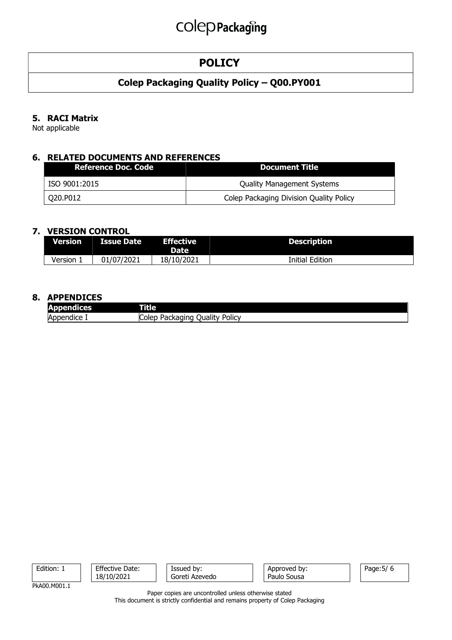## **POLICY**

## Colep Packaging Quality Policy – Q00.PY001

### 5. RACI Matrix

Not applicable

### 6. RELATED DOCUMENTS AND REFERENCES

| <b>Reference Doc. Code</b> | Document Title                          |
|----------------------------|-----------------------------------------|
| ISO 9001:2015              | <b>Quality Management Systems</b>       |
| Q20.P012                   | Colep Packaging Division Quality Policy |

#### 7. VERSION CONTROL

| <b>Version</b> | LIssue Date | <b>Effective</b><br><b>Date</b> | <b>Description</b> |
|----------------|-------------|---------------------------------|--------------------|
| Version.       | 01/07/2021  | 18/10/2021                      | Initial Edition    |

#### 8. APPENDICES

| . .<br>andices.<br><b>ADT</b><br>к—⊾т | ntiez                                               |
|---------------------------------------|-----------------------------------------------------|
| Appendice .                           | ∽<br><b>POIICV</b><br>Juality<br>Colep<br>'ackagind |

| Edition:     | <b>Effective Date:</b><br>18/10/2021 | Issued by:<br>Goreti Azevedo | Approved by:<br>Paulo Sousa | Page: 5/ 6 |
|--------------|--------------------------------------|------------------------------|-----------------------------|------------|
| PkA00.M001.1 |                                      |                              |                             |            |